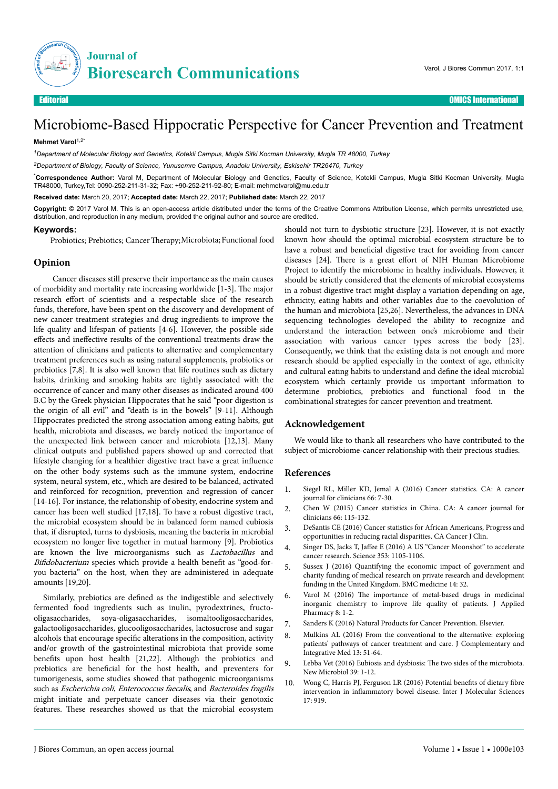

# Microbiome-Based Hippocratic Perspective for Cancer Prevention and Treatment

### **Mehmet Varol**1,2\*

*<sup>1</sup>Department of Molecular Biology and Genetics, Kotekli Campus, Mugla Sitki Kocman University, Mugla TR 48000, Turkey*

*<sup>2</sup>Department of Biology, Faculty of Science, Yunusemre Campus, Anadolu University, Eskisehir TR26470, Turkey*

\***Correspondence Author:** Varol M, Department of Molecular Biology and Genetics, Faculty of Science, Kotekli Campus, Mugla Sitki Kocman University, Mugla TR48000, Turkey,Tel: 0090-252-211-31-32; Fax: +90-252-211-92-80; E-mail: mehmetvarol@mu.edu.tr

**Received date:** March 20, 2017; **Accepted date:** March 22, 2017; **Published date:** March 22, 2017

**Copyright:** © 2017 Varol M. This is an open-access article distributed under the terms of the Creative Commons Attribution License, which permits unrestricted use, distribution, and reproduction in any medium, provided the original author and source are credited.

#### **Keywords:**

Probiotics; Prebiotics; Cancer Therapy; Microbiota; Functional food

### **Opinion**

Cancer diseases still preserve their importance as the main causes of morbidity and mortality rate increasing worldwide [1-3]. Нe major research effort of scientists and a respectable slice of the research funds, therefore, have been spent on the discovery and development of new cancer treatment strategies and drug ingredients to improve the life quality and lifespan of patients [4-6]. However, the possible side effects and ineffective results of the conventional treatments draw the attention of clinicians and patients to alternative and complementary treatment preferences such as using natural supplements, probiotics or prebiotics [7,8]. It is also well known that life routines such as dietary habits, drinking and smoking habits are tightly associated with the occurrence of cancer and many other diseases as indicated around 400 B.C by the Greek physician Hippocrates that he said "poor digestion is the origin of all evil" and "death is in the bowels" [9-11]. Although Hippocrates predicted the strong association among eating habits, gut health, microbiota and diseases, we barely noticed the importance of the unexpected link between cancer and microbiota [12,13]. Many clinical outputs and published papers showed up and corrected that lifestyle changing for a healthier digestive tract have a great influence on the other body systems such as the immune system, endocrine system, neural system, etc., which are desired to be balanced, activated and reinforced for recognition, prevention and regression of cancer [14-16]. For instance, the relationship of obesity, endocrine system and cancer has been well studied [17,18]. To have a robust digestive tract, the microbial ecosystem should be in balanced form named eubiosis that, if disrupted, turns to dysbiosis, meaning the bacteria in microbial ecosystem no longer live together in mutual harmony [9]. Probiotics are known the live microorganisms such as Lactobacillus and Bifidobacterium species which provide a health benefit as "good-foryou bacteria" on the host, when they are administered in adequate amounts [19,20].

Similarly, prebiotics are defined as the indigestible and selectively fermented food ingredients such as inulin, pyrodextrines, fructooligasaccharides, soya-oligasaccharides, isomaltooligosaccharides, galactooligosaccharides, glucooligosaccharides, lactosucrose and sugar alcohols that encourage specific alterations in the composition, activity and/or growth of the gastrointestinal microbiota that provide some benefits upon host health [21,22]. Although the probiotics and prebiotics are beneficial for the host health, and preventers for tumorigenesis, some studies showed that pathogenic microorganisms such as Escherichia coli, Enterococcus faecalis, and Bacteroides fragilis might initiate and perpetuate cancer diseases via their genotoxic features. Нese researches showed us that the microbial ecosystem

should not turn to dysbiotic structure [23]. However, it is not exactly known how should the optimal microbial ecosystem structure be to have a robust and beneficial digestive tract for avoiding from cancer diseases [24]. There is a great effort of NIH Human Microbiome Project to identify the microbiome in healthy individuals. However, it should be strictly considered that the elements of microbial ecosystems in a robust digestive tract might display a variation depending on age, ethnicity, eating habits and other variables due to the coevolution of the human and microbiota [25,26]. Nevertheless, the advances in DNA sequencing technologies developed the ability to recognize and understand the interaction between one's microbiome and their association with various cancer types across the body [23]. Consequently, we think that the existing data is not enough and more research should be applied especially in the context of age, ethnicity and cultural eating habits to understand and define the ideal microbial ecosystem which certainly provide us important information to determine probiotics, prebiotics and functional food in the combinational strategies for cancer prevention and treatment.

# **Acknowledgement**

We would like to thank all researchers who have contributed to the subject of microbiome-cancer relationship with their precious studies.

# **References**

- 1. Siegel RL, Miller KD, Jemal A (2016) Cancer statistics. CA: A cancer journal for clinicians 66: 7-30.
- 2. Chen W (2015) Cancer statistics in China. CA: A cancer journal for clinicians 66: 115-132.
- 3. DeSantis CE (2016) Cancer statistics for African Americans, Progress and opportunities in reducing racial disparities. CA Cancer J Clin.
- 4. Singer DS, Jacks T, Jaffee E (2016) A US "Cancer Moonshot" to accelerate cancer research. Science 353: 1105-1106.
- 5. Sussex J (2016) Quantifying the economic impact of government and charity funding of medical research on private research and development funding in the United Kingdom. BMC medicine 14: 32.
- 6. Varol M (2016) Нe importance of metal-based drugs in medicinal inorganic chemistry to improve life quality of patients. J Applied Pharmacy 8: 1-2.
- 7. Sanders K (2016) Natural Products for Cancer Prevention. Elsevier.
- 8. Mulkins AL (2016) From the conventional to the alternative: exploring patients' pathways of cancer treatment and care. J Complementary and Integrative Med 13: 51-64.
- 9. Lebba Vet (2016) Eubiosis and dysbiosis: Нe two sides of the microbiota. New Microbiol 39: 1-12.
- 10. Wong C, Harris PJ, Ferguson LR (2016) Potential benefits of dietary fibre intervention in inflammatory bowel disease. Inter J Molecular Sciences 17: 919.